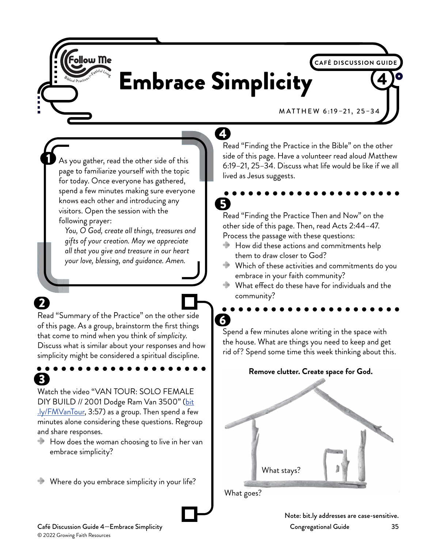

2

# Embrace Simplicity <sup>4</sup>

4

M AT THEW 6:19–21, 25–34

**CAFÉ DISCUSSION GUIDE**

As you gather, read the other side of this page to familiarize yourself with the topic for today. Once everyone has gathered, spend a few minutes making sure everyone knows each other and introducing any visitors. Open the session with the following prayer:

*You, O God, create all things, treasures and gifts of your creation. May we appreciate all that you give and treasure in our heart your love, blessing, and guidance. Amen.*

Read "Summary of the Practice" on the other side of this page. As a group, brainstorm the first things that come to mind when you think of *simplicity*. Discuss what is similar about your responses and how simplicity might be considered a spiritual discipline.

31 Watch the video "VAN TOUR: SOLO FEMALE DIY BUILD // 2001 Dodge Ram Van 3500" [\(bit](http://bit.ly/FMVanTour) [.ly/FMVanTour,](http://bit.ly/FMVanTour) 3:57) as a group. Then spend a few minutes alone considering these questions. Regroup and share responses.

 $\blacktriangleright$  How does the woman choosing to live in her van embrace simplicity?

Where do you embrace simplicity in your life?

Read "Finding the Practice in the Bible" on the other side of this page. Have a volunteer read aloud Matthew 6:19–21, 25–34. Discuss what life would be like if we all lived as Jesus suggests.

# 5

Read "Finding the Practice Then and Now" on the other side of this page. Then, read Acts 2:44–47. Process the passage with these questions:

- How did these actions and commitments help them to draw closer to God?
- Which of these activities and commitments do you embrace in your faith community?
- What effect do these have for individuals and the community?

 $\overline{6}$ Spend a few minutes alone writing in the space with the house. What are things you need to keep and get rid of? Spend some time this week thinking about this.

#### **Remove clutter. Create space for God.**



Note: bit.ly addresses are case-sensitive.

Café Discussion Guide 4—Embrace Simplicity Congregational Guide 35 © 2022 Growing Faith Resources